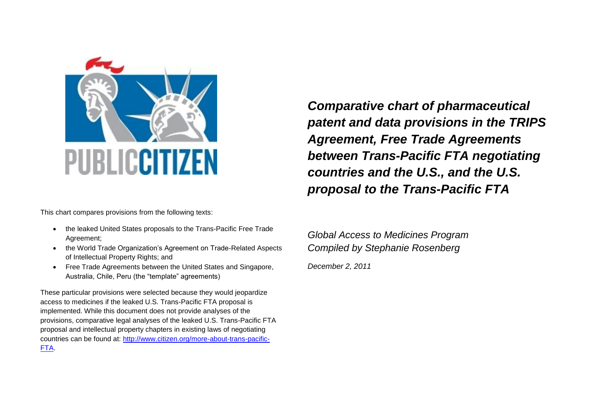

This chart compares provisions from the following texts:

- the leaked United States proposals to the Trans-Pacific Free Trade Agreement;
- the World Trade Organization's Agreement on Trade-Related Aspects of Intellectual Property Rights; and
- Free Trade Agreements between the United States and Singapore, Australia, Chile, Peru (the "template" agreements)

These particular provisions were selected because they would jeopardize access to medicines if the leaked U.S. Trans-Pacific FTA proposal is implemented. While this document does not provide analyses of the provisions, comparative legal analyses of the leaked U.S. Trans-Pacific FTA proposal and intellectual property chapters in existing laws of negotiating countries can be found at: [http://www.citizen.org/more-about-trans-pacific-](http://www.citizen.org/more-about-trans-pacific-FTA)[FTA.](http://www.citizen.org/more-about-trans-pacific-FTA)

*Comparative chart of pharmaceutical patent and data provisions in the TRIPS Agreement, Free Trade Agreements between Trans-Pacific FTA negotiating countries and the U.S., and the U.S. proposal to the Trans-Pacific FTA*

*Global Access to Medicines Program Compiled by Stephanie Rosenberg December 2, 2011*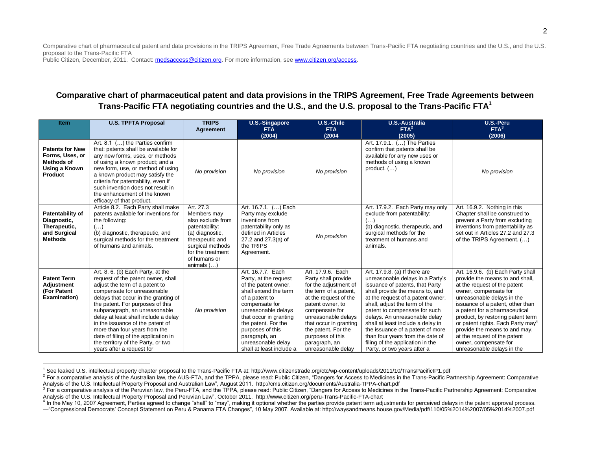Public Citizen, December, 2011. Contact: medsaccess@citizen.org. For more information, see www.citizen.org/access.

## **Comparative chart of pharmaceutical patent and data provisions in the TRIPS Agreement, Free Trade Agreements between Trans-Pacific FTA negotiating countries and the U.S., and the U.S. proposal to the Trans-Pacific FTA<sup>1</sup>**

| <b>Item</b>                                                                                | <b>U.S. TPFTA Proposal</b>                                                                                                                                                                                                                                                                                                                                                                                                                                                    | <b>TRIPS</b><br>Agreement                                                                                                                                                      | U.S.-Singapore<br><b>FTA</b>                                                                                                                                                                                                                                                                   | U.S.-Chile<br><b>FTA</b>                                                                                                                                                                                                                                                                     | <b>U.S.-Australia</b><br>FTA <sup>2</sup>                                                                                                                                                                                                                                                                                                                                                                                                                       | U.S.-Peru<br>FTA <sup>3</sup>                                                                                                                                                                                                                                                                                                                                                                                                                  |
|--------------------------------------------------------------------------------------------|-------------------------------------------------------------------------------------------------------------------------------------------------------------------------------------------------------------------------------------------------------------------------------------------------------------------------------------------------------------------------------------------------------------------------------------------------------------------------------|--------------------------------------------------------------------------------------------------------------------------------------------------------------------------------|------------------------------------------------------------------------------------------------------------------------------------------------------------------------------------------------------------------------------------------------------------------------------------------------|----------------------------------------------------------------------------------------------------------------------------------------------------------------------------------------------------------------------------------------------------------------------------------------------|-----------------------------------------------------------------------------------------------------------------------------------------------------------------------------------------------------------------------------------------------------------------------------------------------------------------------------------------------------------------------------------------------------------------------------------------------------------------|------------------------------------------------------------------------------------------------------------------------------------------------------------------------------------------------------------------------------------------------------------------------------------------------------------------------------------------------------------------------------------------------------------------------------------------------|
|                                                                                            |                                                                                                                                                                                                                                                                                                                                                                                                                                                                               |                                                                                                                                                                                | (2004)                                                                                                                                                                                                                                                                                         | (2004)                                                                                                                                                                                                                                                                                       | (2005)                                                                                                                                                                                                                                                                                                                                                                                                                                                          | (2006)                                                                                                                                                                                                                                                                                                                                                                                                                                         |
| <b>Patents for New</b><br>Forms, Uses, or<br><b>Methods of</b><br>Using a Known<br>Product | Art. 8.1 () the Parties confirm<br>that: patents shall be available for<br>any new forms, uses, or methods<br>of using a known product; and a<br>new form, use, or method of using<br>a known product may satisfy the<br>criteria for patentability, even if<br>such invention does not result in<br>the enhancement of the known<br>efficacy of that product.                                                                                                                | No provision                                                                                                                                                                   | No provision                                                                                                                                                                                                                                                                                   | No provision                                                                                                                                                                                                                                                                                 | Art. 17.9.1. () The Parties<br>confirm that patents shall be<br>available for any new uses or<br>methods of using a known<br>product. $( \ldots )$                                                                                                                                                                                                                                                                                                              | No provision                                                                                                                                                                                                                                                                                                                                                                                                                                   |
| Patentability of<br>Diagnostic,<br>Therapeutic,<br>and Surgical<br><b>Methods</b>          | Article 8.2. Each Party shall make<br>patents available for inventions for<br>the following:<br>$(\ldots)$<br>(b) diagnostic, therapeutic, and<br>surgical methods for the treatment<br>of humans and animals.                                                                                                                                                                                                                                                                | Art. 27.3<br>Members may<br>also exclude from<br>patentability:<br>(a) diagnostic,<br>therapeutic and<br>surgical methods<br>for the treatment<br>of humans or<br>animals $()$ | Art. 16.7.1. () Each<br>Party may exclude<br>inventions from<br>patentability only as<br>defined in Articles<br>27.2 and 27.3(a) of<br>the TRIPS<br>Agreement.                                                                                                                                 | No provision                                                                                                                                                                                                                                                                                 | Art. 17.9.2. Each Party may only<br>exclude from patentability:<br>(b) diagnostic, therapeutic, and<br>surgical methods for the<br>treatment of humans and<br>animals.                                                                                                                                                                                                                                                                                          | Art. 16.9.2. Nothing in this<br>Chapter shall be construed to<br>prevent a Party from excluding<br>inventions from patentability as<br>set out in Articles 27.2 and 27.3<br>of the TRIPS Agreement. ()                                                                                                                                                                                                                                         |
| <b>Patent Term</b><br><b>Adjustment</b><br>(For Patent<br><b>Examination</b> )             | Art. 8. 6. (b) Each Party, at the<br>request of the patent owner, shall<br>adjust the term of a patent to<br>compensate for unreasonable<br>delays that occur in the granting of<br>the patent. For purposes of this<br>subparagraph, an unreasonable<br>delay at least shall include a delay<br>in the issuance of the patent of<br>more than four years from the<br>date of filing of the application in<br>the territory of the Party, or two<br>years after a request for | No provision                                                                                                                                                                   | Art. 16.7.7. Each<br>Party, at the request<br>of the patent owner,<br>shall extend the term<br>of a patent to<br>compensate for<br>unreasonable delays<br>that occur in granting<br>the patent. For the<br>purposes of this<br>paragraph, an<br>unreasonable delay<br>shall at least include a | Art. 17.9.6. Each<br>Party shall provide<br>for the adjustment of<br>the term of a patent,<br>at the request of the<br>patent owner, to<br>compensate for<br>unreasonable delays<br>that occur in granting<br>the patent. For the<br>purposes of this<br>paragraph, an<br>unreasonable delay | Art. 17.9.8. (a) If there are<br>unreasonable delays in a Party's<br>issuance of patents, that Party<br>shall provide the means to, and<br>at the request of a patent owner,<br>shall, adjust the term of the<br>patent to compensate for such<br>delays. An unreasonable delay<br>shall at least include a delay in<br>the issuance of a patent of more<br>than four years from the date of<br>filing of the application in the<br>Party, or two years after a | Art. 16.9.6. (b) Each Party shall<br>provide the means to and shall,<br>at the request of the patent<br>owner, compensate for<br>unreasonable delays in the<br>issuance of a patent, other than<br>a patent for a pharmaceutical<br>product, by restoring patent term<br>or patent rights. Each Party may <sup>4</sup><br>provide the means to and may,<br>at the request of the patent<br>owner, compensate for<br>unreasonable delays in the |

 $\overline{a}$ <sup>1</sup> See leaked U.S. intellectual property chapter proposal to the Trans-Pacific FTA at: http://www.citizenstrade.org/ctc/wp-content/uploads/2011/10/TransPacificIP1.pdf

<sup>&</sup>lt;sup>2</sup> For a comparative analysis of the Australian law, the AUS-FTA, and the TPPA, please read: Public Citizen, "Dangers for Access to Medicines in the Trans-Pacific Partnership Agreement: Comparative Analysis of the U.S. Intellectual Property Proposal and Australian Law", August 2011. http://cms.citizen.org/documents/Australia-TPPA-chart.pdf

<sup>&</sup>lt;sup>3</sup> For a comparative analysis of the Peruvian law, the Peru-FTA, and the TPPA, please read: Public Citizen, "Dangers for Access to Medicines in the Trans-Pacific Partnership Agreement: Comparative Analysis of the U.S. Intellectual Property Proposal and Peruvian Law", October 2011. http://www.citizen.org/peru-Trans-Pacific-FTA-chart

<sup>&</sup>lt;sup>4</sup> In the May 10, 2007 Agreement, Parties agreed to change "shall" to "may", making it optional whether the parties provide patent term adjustments for perceived delays in the patent approval process.

<sup>—&</sup>quot;Congressional Democrats' Concept Statement on Peru & Panama FTA Changes", 10 May 2007. Available at: http://waysandmeans.house.gov/Media/pdf/110/05%2014%2007/05%2014%2007.pdf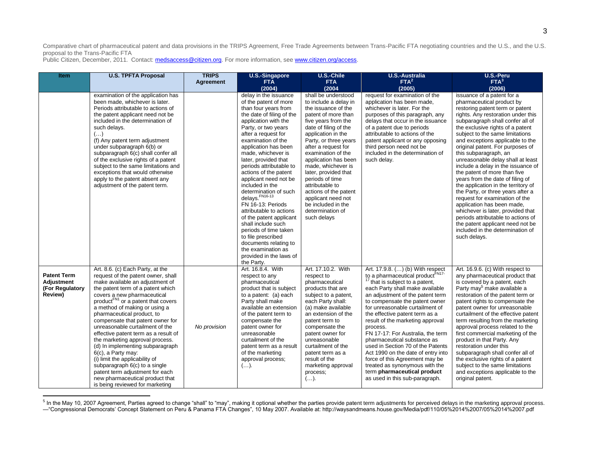Public Citizen, December, 2011. Contact: medsaccess@citizen.org. For more information, see www.citizen.org/access.

 $\overline{a}$ 

| <b>Item</b>                                                    | <b>U.S. TPFTA Proposal</b>                                                                                                                                                                                                                                                                                                                                                                                                                                                                                                                                                                                                                                                             | <b>TRIPS</b><br>Agreement | <b>U.S.-Singapore</b><br><b>FTA</b>                                                                                                                                                                                                                                                                                                                                                                                                                                                                                                                                                                                                                       | U.S.-Chile<br><b>FTA</b>                                                                                                                                                                                                                                                                                                                                                                                                                                   | <b>U.S.-Australia</b><br>FTA <sup>2</sup>                                                                                                                                                                                                                                                                                                                                                                                                                                                                                                                                                                                               | U.S.-Peru<br>FTA <sup>3</sup>                                                                                                                                                                                                                                                                                                                                                                                                                                                                                                                                                                                                                                                                                                                                                                              |
|----------------------------------------------------------------|----------------------------------------------------------------------------------------------------------------------------------------------------------------------------------------------------------------------------------------------------------------------------------------------------------------------------------------------------------------------------------------------------------------------------------------------------------------------------------------------------------------------------------------------------------------------------------------------------------------------------------------------------------------------------------------|---------------------------|-----------------------------------------------------------------------------------------------------------------------------------------------------------------------------------------------------------------------------------------------------------------------------------------------------------------------------------------------------------------------------------------------------------------------------------------------------------------------------------------------------------------------------------------------------------------------------------------------------------------------------------------------------------|------------------------------------------------------------------------------------------------------------------------------------------------------------------------------------------------------------------------------------------------------------------------------------------------------------------------------------------------------------------------------------------------------------------------------------------------------------|-----------------------------------------------------------------------------------------------------------------------------------------------------------------------------------------------------------------------------------------------------------------------------------------------------------------------------------------------------------------------------------------------------------------------------------------------------------------------------------------------------------------------------------------------------------------------------------------------------------------------------------------|------------------------------------------------------------------------------------------------------------------------------------------------------------------------------------------------------------------------------------------------------------------------------------------------------------------------------------------------------------------------------------------------------------------------------------------------------------------------------------------------------------------------------------------------------------------------------------------------------------------------------------------------------------------------------------------------------------------------------------------------------------------------------------------------------------|
|                                                                |                                                                                                                                                                                                                                                                                                                                                                                                                                                                                                                                                                                                                                                                                        |                           | (2004)                                                                                                                                                                                                                                                                                                                                                                                                                                                                                                                                                                                                                                                    | (2004)                                                                                                                                                                                                                                                                                                                                                                                                                                                     | (2005)                                                                                                                                                                                                                                                                                                                                                                                                                                                                                                                                                                                                                                  | (2006)                                                                                                                                                                                                                                                                                                                                                                                                                                                                                                                                                                                                                                                                                                                                                                                                     |
|                                                                | examination of the application has<br>been made, whichever is later.<br>Periods attributable to actions of<br>the patent applicant need not be<br>included in the determination of<br>such delays.<br>$(\ldots)$<br>(f) Any patent term adjustment<br>under subparagraph 6(b) or<br>subparagraph 6(c) shall confer all<br>of the exclusive rights of a patent<br>subject to the same limitations and<br>exceptions that would otherwise<br>apply to the patent absent any<br>adjustment of the patent term.                                                                                                                                                                            |                           | delay in the issuance<br>of the patent of more<br>than four years from<br>the date of filing of the<br>application with the<br>Party, or two years<br>after a request for<br>examination of the<br>application has been<br>made, whichever is<br>later, provided that<br>periods attributable to<br>actions of the patent<br>applicant need not be<br>included in the<br>determination of such<br>delays. FN16-13<br>FN 16-13: Periods<br>attributable to actions<br>of the patent applicant<br>shall include such<br>periods of time taken<br>to file prescribed<br>documents relating to<br>the examination as<br>provided in the laws of<br>the Party. | shall be understood<br>to include a delay in<br>the issuance of the<br>patent of more than<br>five years from the<br>date of filing of the<br>application in the<br>Party, or three years<br>after a request for<br>examination of the<br>application has been<br>made, whichever is<br>later, provided that<br>periods of time<br>attributable to<br>actions of the patent<br>applicant need not<br>be included in the<br>determination of<br>such delays | request for examination of the<br>application has been made,<br>whichever is later. For the<br>purposes of this paragraph, any<br>delays that occur in the issuance<br>of a patent due to periods<br>attributable to actions of the<br>patent applicant or any opposing<br>third person need not be<br>included in the determination of<br>such delay.                                                                                                                                                                                                                                                                                  | issuance of a patent for a<br>pharmaceutical product by<br>restoring patent term or patent<br>rights. Any restoration under this<br>subparagraph shall confer all of<br>the exclusive rights of a patent<br>subject to the same limitations<br>and exceptions applicable to the<br>original patent. For purposes of<br>this subparagraph, an<br>unreasonable delay shall at least<br>include a delay in the issuance of<br>the patent of more than five<br>years from the date of filing of<br>the application in the territory of<br>the Party, or three years after a<br>request for examination of the<br>application has been made,<br>whichever is later, provided that<br>periods attributable to actions of<br>the patent applicant need not be<br>included in the determination of<br>such delays. |
| <b>Patent Term</b><br>Adjustment<br>(For Regulatory<br>Review) | Art. 8.6. (c) Each Party, at the<br>request of the patent owner, shall<br>make available an adjustment of<br>the patent term of a patent which<br>covers a new pharmaceutical<br>product <sup>FN1</sup> or a patent that covers<br>a method of making or using a<br>pharmaceutical product, to<br>compensate that patent owner for<br>unreasonable curtailment of the<br>effective patent term as a result of<br>the marketing approval process.<br>(d) In implementing subparagraph<br>6(c), a Party may:<br>(i) limit the applicability of<br>subparagraph 6(c) to a single<br>patent term adjustment for each<br>new pharmaceutical product that<br>is being reviewed for marketing | No provision              | Art. 16.8.4. With<br>respect to any<br>pharmaceutical<br>product that is subject<br>to a patent: (a) each<br>Party shall make<br>available an extension<br>of the patent term to<br>compensate the<br>patent owner for<br>unreasonable<br>curtailment of the<br>patent term as a result<br>of the marketing<br>approval process;<br>$(\ldots).$                                                                                                                                                                                                                                                                                                           | Art. 17.10.2. With<br>respect to<br>pharmaceutical<br>products that are<br>subject to a patent,<br>each Party shall:<br>(a) make available<br>an extension of the<br>patent term to<br>compensate the<br>patent owner for<br>unreasonable<br>curtailment of the<br>patent term as a<br>result of the<br>marketing approval<br>process;<br>$(\ldots).$                                                                                                      | Art. 17.9.8. () (b) With respect<br>to a pharmaceutical product <sup>FN17-</sup><br>$17$ that is subject to a patent,<br>each Party shall make available<br>an adjustment of the patent term<br>to compensate the patent owner<br>for unreasonable curtailment of<br>the effective patent term as a<br>result of the marketing approval<br>process.<br>FN 17-17: For Australia, the term<br>pharmaceutical substance as<br>used in Section 70 of the Patents<br>Act 1990 on the date of entry into<br>force of this Agreement may be<br>treated as synonymous with the<br>term pharmaceutical product<br>as used in this sub-paragraph. | Art. 16.9.6. (c) With respect to<br>any pharmaceutical product that<br>is covered by a patent, each<br>Party may <sup>5</sup> make available a<br>restoration of the patent term or<br>patent rights to compensate the<br>patent owner for unreasonable<br>curtailment of the effective patent<br>term resulting from the marketing<br>approval process related to the<br>first commercial marketing of the<br>product in that Party. Any<br>restoration under this<br>subparagraph shall confer all of<br>the exclusive rights of a patent<br>subject to the same limitations<br>and exceptions applicable to the<br>original patent.                                                                                                                                                                     |

<sup>5</sup> In the May 10, 2007 Agreement, Parties agreed to change "shall" to "may", making it optional whether the parties provide patent term adjustments for perceived delays in the marketing approval process. —"Congressional Democrats' Concept Statement on Peru & Panama FTA Changes", 10 May 2007. Available at: http://waysandmeans.house.gov/Media/pdf/110/05%2014%2007/05%2014%2007.pdf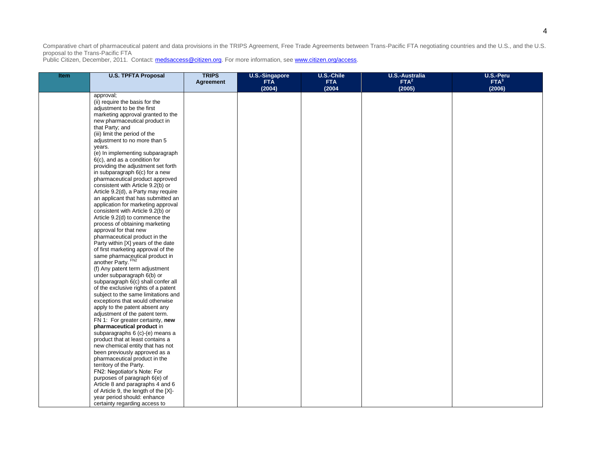| <b>Item</b> | <b>U.S. TPFTA Proposal</b>                                   | <b>TRIPS</b><br>Agreement | <b>U.S.-Singapore</b><br><b>FTA</b><br>(2004) | U.S.-Chile<br><b>FTA</b><br>(2004) | <b>U.S.-Australia</b><br>FTA <sup>2</sup><br>(2005) | U.S.-Peru<br>FTA <sup>3</sup><br>(2006) |
|-------------|--------------------------------------------------------------|---------------------------|-----------------------------------------------|------------------------------------|-----------------------------------------------------|-----------------------------------------|
|             | approval;                                                    |                           |                                               |                                    |                                                     |                                         |
|             | (ii) require the basis for the                               |                           |                                               |                                    |                                                     |                                         |
|             | adjustment to be the first                                   |                           |                                               |                                    |                                                     |                                         |
|             | marketing approval granted to the                            |                           |                                               |                                    |                                                     |                                         |
|             | new pharmaceutical product in                                |                           |                                               |                                    |                                                     |                                         |
|             | that Party; and                                              |                           |                                               |                                    |                                                     |                                         |
|             | (iii) limit the period of the                                |                           |                                               |                                    |                                                     |                                         |
|             | adjustment to no more than 5                                 |                           |                                               |                                    |                                                     |                                         |
|             | years.                                                       |                           |                                               |                                    |                                                     |                                         |
|             | (e) In implementing subparagraph                             |                           |                                               |                                    |                                                     |                                         |
|             | 6(c), and as a condition for                                 |                           |                                               |                                    |                                                     |                                         |
|             | providing the adjustment set forth                           |                           |                                               |                                    |                                                     |                                         |
|             | in subparagraph 6(c) for a new                               |                           |                                               |                                    |                                                     |                                         |
|             | pharmaceutical product approved                              |                           |                                               |                                    |                                                     |                                         |
|             | consistent with Article 9.2(b) or                            |                           |                                               |                                    |                                                     |                                         |
|             | Article 9.2(d), a Party may require                          |                           |                                               |                                    |                                                     |                                         |
|             | an applicant that has submitted an                           |                           |                                               |                                    |                                                     |                                         |
|             | application for marketing approval                           |                           |                                               |                                    |                                                     |                                         |
|             | consistent with Article 9.2(b) or                            |                           |                                               |                                    |                                                     |                                         |
|             | Article 9.2(d) to commence the                               |                           |                                               |                                    |                                                     |                                         |
|             | process of obtaining marketing<br>approval for that new      |                           |                                               |                                    |                                                     |                                         |
|             | pharmaceutical product in the                                |                           |                                               |                                    |                                                     |                                         |
|             | Party within [X] years of the date                           |                           |                                               |                                    |                                                     |                                         |
|             | of first marketing approval of the                           |                           |                                               |                                    |                                                     |                                         |
|             |                                                              |                           |                                               |                                    |                                                     |                                         |
|             | same pharmaceutical product in<br>another Party. FN2         |                           |                                               |                                    |                                                     |                                         |
|             | (f) Any patent term adjustment                               |                           |                                               |                                    |                                                     |                                         |
|             | under subparagraph 6(b) or                                   |                           |                                               |                                    |                                                     |                                         |
|             | subparagraph 6(c) shall confer all                           |                           |                                               |                                    |                                                     |                                         |
|             | of the exclusive rights of a patent                          |                           |                                               |                                    |                                                     |                                         |
|             | subject to the same limitations and                          |                           |                                               |                                    |                                                     |                                         |
|             | exceptions that would otherwise                              |                           |                                               |                                    |                                                     |                                         |
|             | apply to the patent absent any                               |                           |                                               |                                    |                                                     |                                         |
|             | adjustment of the patent term.                               |                           |                                               |                                    |                                                     |                                         |
|             | FN 1: For greater certainty, new                             |                           |                                               |                                    |                                                     |                                         |
|             | pharmaceutical product in                                    |                           |                                               |                                    |                                                     |                                         |
|             | subparagraphs 6 (c)-(e) means a                              |                           |                                               |                                    |                                                     |                                         |
|             | product that at least contains a                             |                           |                                               |                                    |                                                     |                                         |
|             | new chemical entity that has not                             |                           |                                               |                                    |                                                     |                                         |
|             | been previously approved as a                                |                           |                                               |                                    |                                                     |                                         |
|             | pharmaceutical product in the                                |                           |                                               |                                    |                                                     |                                         |
|             | territory of the Party.                                      |                           |                                               |                                    |                                                     |                                         |
|             | FN2: Negotiator's Note: For<br>purposes of paragraph 6(e) of |                           |                                               |                                    |                                                     |                                         |
|             | Article 8 and paragraphs 4 and 6                             |                           |                                               |                                    |                                                     |                                         |
|             | of Article 9, the length of the [X]-                         |                           |                                               |                                    |                                                     |                                         |
|             | year period should: enhance                                  |                           |                                               |                                    |                                                     |                                         |
|             | certainty regarding access to                                |                           |                                               |                                    |                                                     |                                         |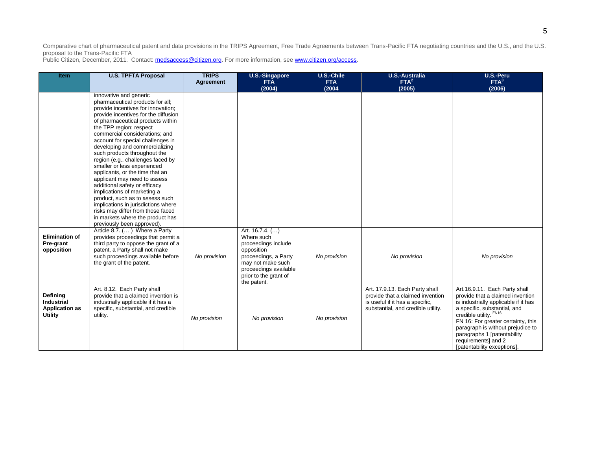| <b>Item</b>                                                       | <b>U.S. TPFTA Proposal</b>                                                                                                                                                                                                                                                                                                                                                                                                                                                                                                                                                                                                                                                                                  | <b>TRIPS</b><br>Agreement | <b>U.S.-Singapore</b><br><b>FTA</b>                                                                                                                                              | U.S.-Chile<br><b>FTA</b> | <b>U.S.-Australia</b><br>FTA <sup>2</sup>                                                                                                   | U.S.-Peru<br>FTA <sup>3</sup>                                                                                                                                                                                                                                                                                                       |
|-------------------------------------------------------------------|-------------------------------------------------------------------------------------------------------------------------------------------------------------------------------------------------------------------------------------------------------------------------------------------------------------------------------------------------------------------------------------------------------------------------------------------------------------------------------------------------------------------------------------------------------------------------------------------------------------------------------------------------------------------------------------------------------------|---------------------------|----------------------------------------------------------------------------------------------------------------------------------------------------------------------------------|--------------------------|---------------------------------------------------------------------------------------------------------------------------------------------|-------------------------------------------------------------------------------------------------------------------------------------------------------------------------------------------------------------------------------------------------------------------------------------------------------------------------------------|
|                                                                   | innovative and generic<br>pharmaceutical products for all;<br>provide incentives for innovation;<br>provide incentives for the diffusion<br>of pharmaceutical products within<br>the TPP region; respect<br>commercial considerations; and<br>account for special challenges in<br>developing and commercializing<br>such products throughout the<br>region (e.g., challenges faced by<br>smaller or less experienced<br>applicants, or the time that an<br>applicant may need to assess<br>additional safety or efficacy<br>implications of marketing a<br>product, such as to assess such<br>implications in jurisdictions where<br>risks may differ from those faced<br>in markets where the product has |                           | (2004)                                                                                                                                                                           | (2004)                   | (2005)                                                                                                                                      | (2006)                                                                                                                                                                                                                                                                                                                              |
| <b>Elimination of</b><br>Pre-grant<br>opposition                  | previously been approved).<br>Article 8.7. () Where a Party<br>provides proceedings that permit a<br>third party to oppose the grant of a<br>patent, a Party shall not make<br>such proceedings available before<br>the grant of the patent.                                                                                                                                                                                                                                                                                                                                                                                                                                                                | No provision              | Art. 16.7.4. ()<br>Where such<br>proceedings include<br>opposition<br>proceedings, a Party<br>may not make such<br>proceedings available<br>prior to the grant of<br>the patent. | No provision             | No provision                                                                                                                                | No provision                                                                                                                                                                                                                                                                                                                        |
| Defining<br>Industrial<br><b>Application as</b><br><b>Utility</b> | Art. 8.12. Each Party shall<br>provide that a claimed invention is<br>industrially applicable if it has a<br>specific, substantial, and credible<br>utility.                                                                                                                                                                                                                                                                                                                                                                                                                                                                                                                                                | No provision              | No provision                                                                                                                                                                     | No provision             | Art. 17.9.13. Each Party shall<br>provide that a claimed invention<br>is useful if it has a specific.<br>substantial, and credible utility. | Art.16.9.11. Each Party shall<br>provide that a claimed invention<br>is industrially applicable if it has<br>a specific, substantial, and<br>credible utility. FN16<br>FN 16: For greater certainty, this<br>paragraph is without prejudice to<br>paragraphs 1 [patentability<br>requirements] and 2<br>[patentability exceptions]. |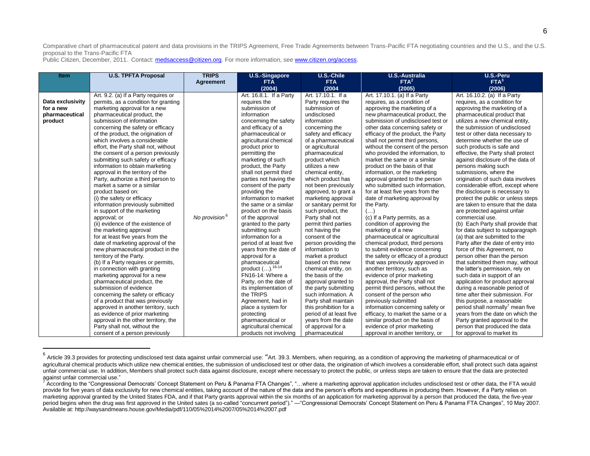| <b>Item</b>      | <b>U.S. TPFTA Proposal</b>                                     | <b>TRIPS</b>              | <b>U.S.-Singapore</b>            | <b>U.S.-Chile</b>                      | <b>U.S.-Australia</b>                                                  | U.S.-Peru                                                        |
|------------------|----------------------------------------------------------------|---------------------------|----------------------------------|----------------------------------------|------------------------------------------------------------------------|------------------------------------------------------------------|
|                  |                                                                | <b>Agreement</b>          | <b>FTA</b>                       | <b>FTA</b>                             | FTA <sup>2</sup>                                                       | FTA <sup>3</sup>                                                 |
|                  |                                                                |                           | (2004)                           | (2004)                                 | (2005)                                                                 | (2006)                                                           |
|                  | Art. 9.2. (a) If a Party requires or                           |                           | Art. 16.8.1. If a Party          | Art. 17.10.1. If a                     | Art. 17.10.1. (a) If a Party                                           | Art. 16.10.2. (a) If a Party                                     |
| Data exclusivity | permits, as a condition for granting                           |                           | requires the                     | Party requires the                     | requires, as a condition of                                            | requires, as a condition for                                     |
| for a new        | marketing approval for a new                                   |                           | submission of                    | submission of                          | approving the marketing of a                                           | approving the marketing of a                                     |
| pharmaceutical   | pharmaceutical product, the                                    |                           | information                      | undisclosed                            | new pharmaceutical product, the                                        | pharmaceutical product that                                      |
| product          | submission of information                                      |                           | concerning the safety            | information                            | submission of undisclosed test or                                      | utilizes a new chemical entity,                                  |
|                  | concerning the safety or efficacy                              |                           | and efficacy of a                | concerning the                         | other data concerning safety or                                        | the submission of undisclosed                                    |
|                  | of the product, the origination of                             |                           | pharmaceutical or                | safety and efficacy                    | efficacy of the product, the Party                                     | test or other data necessary to                                  |
|                  | which involves a considerable                                  |                           | agricultural chemical            | of a pharmaceutical                    | shall not permit third persons,                                        | determine whether the use of                                     |
|                  | effort, the Party shall not, without                           |                           | product prior to                 | or agricultural                        | without the consent of the person                                      | such products is safe and                                        |
|                  | the consent of a person previously                             |                           | permitting the                   | pharmaceutical                         | who provided the information, to                                       | effective, the Party shall protect                               |
|                  | submitting such safety or efficacy                             |                           | marketing of such                | product which                          | market the same or a similar                                           | against disclosure of the data of                                |
|                  | information to obtain marketing                                |                           | product, the Party               | utilizes a new                         | product on the basis of that                                           | persons making such                                              |
|                  | approval in the territory of the                               |                           | shall not permit third           | chemical entity.                       | information, or the marketing                                          | submissions, where the                                           |
|                  | Party, authorize a third person to                             |                           | parties not having the           | which product has                      | approval granted to the person                                         | origination of such data involves                                |
|                  | market a same or a similar                                     |                           | consent of the party             | not been previously                    | who submitted such information,                                        | considerable effort, except where                                |
|                  | product based on:                                              |                           | providing the                    | approved, to grant a                   | for at least five years from the                                       | the disclosure is necessary to                                   |
|                  | (i) the safety or efficacy                                     |                           | information to market            | marketing approval                     | date of marketing approval by                                          | protect the public or unless steps                               |
|                  | information previously submitted                               |                           | the same or a similar            | or sanitary permit for                 | the Party.                                                             | are taken to ensure that the data                                |
|                  | in support of the marketing                                    |                           | product on the basis             | such product, the                      | $(\ldots)$                                                             | are protected against unfair                                     |
|                  | approval; or                                                   | No provision <sup>6</sup> | of the approval                  | Party shall not                        | (c) If a Party permits, as a                                           | commercial use.                                                  |
|                  | (ii) evidence of the existence of                              |                           | granted to the party             | permit third parties                   | condition of approving the                                             | (b) Each Party shall provide that                                |
|                  | the marketing approval                                         |                           | submitting such                  | not having the                         | marketing of a new                                                     | for data subject to subparagraph                                 |
|                  | for at least five years from the                               |                           | information for a                | consent of the                         | pharmaceutical or agricultural                                         | (a) that are submitted to the                                    |
|                  | date of marketing approval of the                              |                           | period of at least five          | person providing the<br>information to | chemical product, third persons                                        | Party after the date of entry into                               |
|                  | new pharmaceutical product in the                              |                           | years from the date of           |                                        | to submit evidence concerning                                          | force of this Agreement, no                                      |
|                  | territory of the Party.<br>(b) If a Party requires or permits, |                           | approval for a<br>pharmaceutical | market a product<br>based on this new  | the safety or efficacy of a product<br>that was previously approved in | person other than the person<br>that submitted them may, without |
|                  | in connection with granting                                    |                           | product $().^{16-14}$            | chemical entity, on                    | another territory, such as                                             | the latter's permission, rely on                                 |
|                  | marketing approval for a new                                   |                           | FN16-14: Where a                 | the basis of the                       | evidence of prior marketing                                            | such data in support of an                                       |
|                  | pharmaceutical product, the                                    |                           | Party, on the date of            | approval granted to                    | approval, the Party shall not                                          | application for product approval                                 |
|                  | submission of evidence                                         |                           | its implementation of            | the party submitting                   | permit third persons, without the                                      | during a reasonable period of                                    |
|                  | concerning the safety or efficacy                              |                           | the TRIPS                        | such information. A                    | consent of the person who                                              | time after their submission. For                                 |
|                  | of a product that was previously                               |                           | Agreement, had in                | Party shall maintain                   | previously submitted                                                   | this purpose, a reasonable                                       |
|                  | approved in another territory, such                            |                           | place a system for               | this prohibition for a                 | information concerning safety or                                       | period shall normally mean five                                  |
|                  | as evidence of prior marketing                                 |                           | protecting                       | period of at least five                | efficacy, to market the same or a                                      | years from the date on which the                                 |
|                  | approval in the other territory, the                           |                           | pharmaceutical or                | years from the date                    | similar product on the basis of                                        | Party granted approval to the                                    |
|                  | Party shall not, without the                                   |                           | agricultural chemical            | of approval for a                      | evidence of prior marketing                                            | person that produced the data                                    |
|                  | consent of a person previously                                 |                           | products not involving           | pharmaceutical                         | approval in another territory, or                                      | for approval to market its                                       |

<sup>&</sup>lt;u>6</u><br><sup>6</sup> Article 39.3 provides for protecting undisclosed test data against unfair commercial use: "Art. 39.3. Members, when requiring, as a condition of approving the marketing of pharmaceutical or of agricultural chemical products which utilize new chemical entities, the submission of undisclosed test or other data, the origination of which involves a considerable effort, shall protect such data against unfair commercial use. In addition, Members shall protect such data against disclosure, except where necessary to protect the public, or unless steps are taken to ensure that the data are protected against unfair commercial use."

<sup>&</sup>lt;sup>7</sup> According to the "Congressional Democrats' Concept Statement on Peru & Panama FTA Changes", "...where a marketing approval application includes undisclosed test or other data, the FTA would provide for five years of data exclusivity for new chemical entities, taking account of the nature of the data and the person's efforts and expenditures in producing them. However, if a Party relies on marketing approval granted by the United States FDA, and if that Party grants approval within the six months of an application for marketing approval by a person that produced the data, the five-year period begins when the drug was first approved in the United sates (a so-called "concurrent period")." — "Congressional Democrats' Concept Statement on Peru & Panama FTA Changes", 10 May 2007. Available at: http://waysandmeans.house.gov/Media/pdf/110/05%2014%2007/05%2014%2007.pdf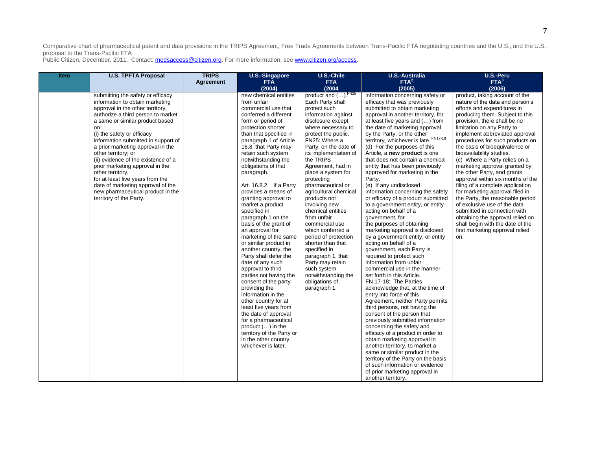| <b>Item</b> | <b>U.S. TPFTA Proposal</b>                                                                                                                                                                                                                                                                                                                                                                                                                                                                                                                                       | <b>TRIPS</b>     | <b>U.S.-Singapore</b>                                                                                                                                                                                                                                                                                                                                                                                                                                                                                                                                                                                                                                                                                                                                                                                                                                                                                                 | U.S.-Chile                                                                                                                                                                                                                                                                                                                                                                                                                                                                                                                                                                                                                         | <b>U.S.-Australia</b>                                                                                                                                                                                                                                                                                                                                                                                                                                                                                                                                                                                                                                                                                                                                                                                                                                                                                                                                                                                                                                                                                                                                                                                                                                                                                                                                                                                                                                                                | U.S.-Peru                                                                                                                                                                                                                                                                                                                                                                                                                                                                                                                                                                                                                                                                                                                                                               |
|-------------|------------------------------------------------------------------------------------------------------------------------------------------------------------------------------------------------------------------------------------------------------------------------------------------------------------------------------------------------------------------------------------------------------------------------------------------------------------------------------------------------------------------------------------------------------------------|------------------|-----------------------------------------------------------------------------------------------------------------------------------------------------------------------------------------------------------------------------------------------------------------------------------------------------------------------------------------------------------------------------------------------------------------------------------------------------------------------------------------------------------------------------------------------------------------------------------------------------------------------------------------------------------------------------------------------------------------------------------------------------------------------------------------------------------------------------------------------------------------------------------------------------------------------|------------------------------------------------------------------------------------------------------------------------------------------------------------------------------------------------------------------------------------------------------------------------------------------------------------------------------------------------------------------------------------------------------------------------------------------------------------------------------------------------------------------------------------------------------------------------------------------------------------------------------------|--------------------------------------------------------------------------------------------------------------------------------------------------------------------------------------------------------------------------------------------------------------------------------------------------------------------------------------------------------------------------------------------------------------------------------------------------------------------------------------------------------------------------------------------------------------------------------------------------------------------------------------------------------------------------------------------------------------------------------------------------------------------------------------------------------------------------------------------------------------------------------------------------------------------------------------------------------------------------------------------------------------------------------------------------------------------------------------------------------------------------------------------------------------------------------------------------------------------------------------------------------------------------------------------------------------------------------------------------------------------------------------------------------------------------------------------------------------------------------------|-------------------------------------------------------------------------------------------------------------------------------------------------------------------------------------------------------------------------------------------------------------------------------------------------------------------------------------------------------------------------------------------------------------------------------------------------------------------------------------------------------------------------------------------------------------------------------------------------------------------------------------------------------------------------------------------------------------------------------------------------------------------------|
|             |                                                                                                                                                                                                                                                                                                                                                                                                                                                                                                                                                                  | <b>Agreement</b> | <b>FTA</b><br>(2004)                                                                                                                                                                                                                                                                                                                                                                                                                                                                                                                                                                                                                                                                                                                                                                                                                                                                                                  | <b>FTA</b><br>(2004)                                                                                                                                                                                                                                                                                                                                                                                                                                                                                                                                                                                                               | FTA <sup>2</sup><br>(2005)                                                                                                                                                                                                                                                                                                                                                                                                                                                                                                                                                                                                                                                                                                                                                                                                                                                                                                                                                                                                                                                                                                                                                                                                                                                                                                                                                                                                                                                           | FTA <sup>3</sup><br>(2006)                                                                                                                                                                                                                                                                                                                                                                                                                                                                                                                                                                                                                                                                                                                                              |
|             | submitting the safety or efficacy<br>information to obtain marketing<br>approval in the other territory,<br>authorize a third person to market<br>a same or similar product based<br>on:<br>(i) the safety or efficacy<br>information submitted in support of<br>a prior marketing approval in the<br>other territory; or<br>(ii) evidence of the existence of a<br>prior marketing approval in the<br>other territory,<br>for at least five years from the<br>date of marketing approval of the<br>new pharmaceutical product in the<br>territory of the Party. |                  | new chemical entities<br>from unfair<br>commercial use that<br>conferred a different<br>form or period of<br>protection shorter<br>than that specified in<br>paragraph 1 of Article<br>16.8, that Party may<br>retain such system<br>notwithstanding the<br>obligations of that<br>paragraph.<br>Art. 16.8.2. If a Party<br>provides a means of<br>granting approval to<br>market a product<br>specified in<br>paragraph 1 on the<br>basis of the grant of<br>an approval for<br>marketing of the same<br>or similar product in<br>another country, the<br>Party shall defer the<br>date of any such<br>approval to third<br>parties not having the<br>consent of the party<br>providing the<br>information in the<br>other country for at<br>least five years from<br>the date of approval<br>for a pharmaceutical<br>product () in the<br>territory of the Party or<br>in the other country,<br>whichever is later. | product and (). FN25<br>Each Party shall<br>protect such<br>information against<br>disclosure except<br>where necessary to<br>protect the public.<br>FN25: Where a<br>Party, on the date of<br>its implementation of<br>the TRIPS<br>Agreement, had in<br>place a system for<br>protecting<br>pharmaceutical or<br>agricultural chemical<br>products not<br>involving new<br>chemical entities<br>from unfair<br>commercial use<br>which conferred a<br>period of protection<br>shorter than that<br>specified in<br>paragraph 1, that<br>Party may retain<br>such system<br>notwithstanding the<br>obligations of<br>paragraph 1. | information concerning safety or<br>efficacy that was previously<br>submitted to obtain marketing<br>approval in another territory, for<br>at least five years and () from<br>the date of marketing approval<br>by the Party, or the other<br>territory, whichever is late. FN17-18<br>(d) For the purposes of this<br>Article, a new product is one<br>that does not contain a chemical<br>entity that has been previously<br>approved for marketing in the<br>Party.<br>(e) If any undisclosed<br>information concerning the safety<br>or efficacy of a product submitted<br>to a government entity, or entity<br>acting on behalf of a<br>government, for<br>the purposes of obtaining<br>marketing approval is disclosed<br>by a government entity, or entity<br>acting on behalf of a<br>government, each Party is<br>required to protect such<br>information from unfair<br>commercial use in the manner<br>set forth in this Article.<br>FN 17-18: The Parties<br>acknowledge that, at the time of<br>entry into force of this<br>Agreement, neither Party permits<br>third persons, not having the<br>consent of the person that<br>previously submitted information<br>concerning the safety and<br>efficacy of a product in order to<br>obtain marketing approval in<br>another territory, to market a<br>same or similar product in the<br>territory of the Party on the basis<br>of such information or evidence<br>of prior marketing approval in<br>another territory. | product, taking account of the<br>nature of the data and person's<br>efforts and expenditures in<br>producing them. Subject to this<br>provision, there shall be no<br>limitation on any Party to<br>implement abbreviated approval<br>procedures for such products on<br>the basis of bioequivalence or<br>bioavailability studies.<br>(c) Where a Party relies on a<br>marketing approval granted by<br>the other Party, and grants<br>approval within six months of the<br>filing of a complete application<br>for marketing approval filed in<br>the Party, the reasonable period<br>of exclusive use of the data<br>submitted in connection with<br>obtaining the approval relied on<br>shall begin with the date of the<br>first marketing approval relied<br>on. |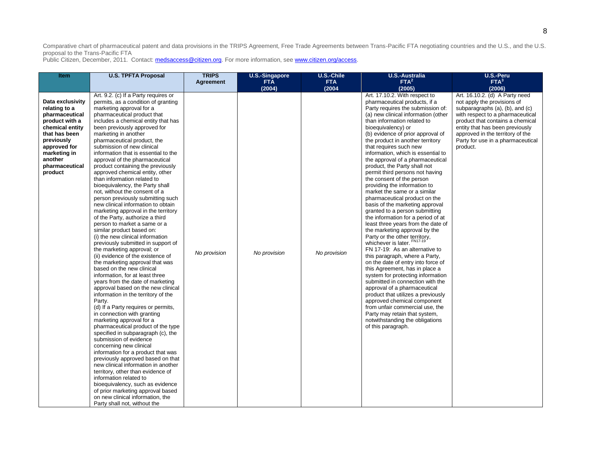| Item                                                                                                                                                                                            | <b>U.S. TPFTA Proposal</b>                                                                                                                                                                                                                                                                                                                                                                                                                                                                                                                                                                                                                                                                                                                                                                                                                                                                                                                                                                                                                                                                                                                                                                                                                                                                                                                                                                                                                                                                                                                                                                                                                                                                                            | <b>TRIPS</b><br>Agreement | U.S.-Singapore<br><b>FTA</b> | U.S.-Chile<br><b>FTA</b> | <b>U.S.-Australia</b><br>FTA <sup>2</sup>                                                                                                                                                                                                                                                                                                                                                                                                                                                                                                                                                                                                                                                                                                                                                                                                                                                                                                                                                                                                                                                                                                                                                                                                                                              | U.S.-Peru<br>FTA <sup>3</sup>                                                                                                                                                                                                                                                                    |
|-------------------------------------------------------------------------------------------------------------------------------------------------------------------------------------------------|-----------------------------------------------------------------------------------------------------------------------------------------------------------------------------------------------------------------------------------------------------------------------------------------------------------------------------------------------------------------------------------------------------------------------------------------------------------------------------------------------------------------------------------------------------------------------------------------------------------------------------------------------------------------------------------------------------------------------------------------------------------------------------------------------------------------------------------------------------------------------------------------------------------------------------------------------------------------------------------------------------------------------------------------------------------------------------------------------------------------------------------------------------------------------------------------------------------------------------------------------------------------------------------------------------------------------------------------------------------------------------------------------------------------------------------------------------------------------------------------------------------------------------------------------------------------------------------------------------------------------------------------------------------------------------------------------------------------------|---------------------------|------------------------------|--------------------------|----------------------------------------------------------------------------------------------------------------------------------------------------------------------------------------------------------------------------------------------------------------------------------------------------------------------------------------------------------------------------------------------------------------------------------------------------------------------------------------------------------------------------------------------------------------------------------------------------------------------------------------------------------------------------------------------------------------------------------------------------------------------------------------------------------------------------------------------------------------------------------------------------------------------------------------------------------------------------------------------------------------------------------------------------------------------------------------------------------------------------------------------------------------------------------------------------------------------------------------------------------------------------------------|--------------------------------------------------------------------------------------------------------------------------------------------------------------------------------------------------------------------------------------------------------------------------------------------------|
|                                                                                                                                                                                                 |                                                                                                                                                                                                                                                                                                                                                                                                                                                                                                                                                                                                                                                                                                                                                                                                                                                                                                                                                                                                                                                                                                                                                                                                                                                                                                                                                                                                                                                                                                                                                                                                                                                                                                                       |                           | (2004)                       | (2004)                   | (2005)                                                                                                                                                                                                                                                                                                                                                                                                                                                                                                                                                                                                                                                                                                                                                                                                                                                                                                                                                                                                                                                                                                                                                                                                                                                                                 | (2006)                                                                                                                                                                                                                                                                                           |
| Data exclusivity<br>relating to a<br>pharmaceutical<br>product with a<br>chemical entity<br>that has been<br>previously<br>approved for<br>marketing in<br>another<br>pharmaceutical<br>product | Art. 9.2. (c) If a Party requires or<br>permits, as a condition of granting<br>marketing approval for a<br>pharmaceutical product that<br>includes a chemical entity that has<br>been previously approved for<br>marketing in another<br>pharmaceutical product, the<br>submission of new clinical<br>information that is essential to the<br>approval of the pharmaceutical<br>product containing the previously<br>approved chemical entity, other<br>than information related to<br>bioequivalency, the Party shall<br>not, without the consent of a<br>person previously submitting such<br>new clinical information to obtain<br>marketing approval in the territory<br>of the Party, authorize a third<br>person to market a same or a<br>similar product based on:<br>(i) the new clinical information<br>previously submitted in support of<br>the marketing approval; or<br>(ii) evidence of the existence of<br>the marketing approval that was<br>based on the new clinical<br>information, for at least three<br>years from the date of marketing<br>approval based on the new clinical<br>information in the territory of the<br>Party.<br>(d) If a Party requires or permits,<br>in connection with granting<br>marketing approval for a<br>pharmaceutical product of the type<br>specified in subparagraph (c), the<br>submission of evidence<br>concerning new clinical<br>information for a product that was<br>previously approved based on that<br>new clinical information in another<br>territory, other than evidence of<br>information related to<br>bioequivalency, such as evidence<br>of prior marketing approval based<br>on new clinical information, the<br>Party shall not, without the | No provision              | No provision                 | No provision             | Art. 17.10.2. With respect to<br>pharmaceutical products, if a<br>Party requires the submission of:<br>(a) new clinical information (other<br>than information related to<br>bioequivalency) or<br>(b) evidence of prior approval of<br>the product in another territory<br>that requires such new<br>information, which is essential to<br>the approval of a pharmaceutical<br>product, the Party shall not<br>permit third persons not having<br>the consent of the person<br>providing the information to<br>market the same or a similar<br>pharmaceutical product on the<br>basis of the marketing approval<br>granted to a person submitting<br>the information for a period of at<br>least three years from the date of<br>the marketing approval by the<br>Party or the other territory,<br>whichever is later. FN17-19<br>FN 17-19: As an alternative to<br>this paragraph, where a Party,<br>on the date of entry into force of<br>this Agreement, has in place a<br>system for protecting information<br>submitted in connection with the<br>approval of a pharmaceutical<br>product that utilizes a previously<br>approved chemical component<br>from unfair commercial use, the<br>Party may retain that system,<br>notwithstanding the obligations<br>of this paragraph. | Art. 16.10.2. (d) A Party need<br>not apply the provisions of<br>subparagraphs (a), (b), and (c)<br>with respect to a pharmaceutical<br>product that contains a chemical<br>entity that has been previously<br>approved in the territory of the<br>Party for use in a pharmaceutical<br>product. |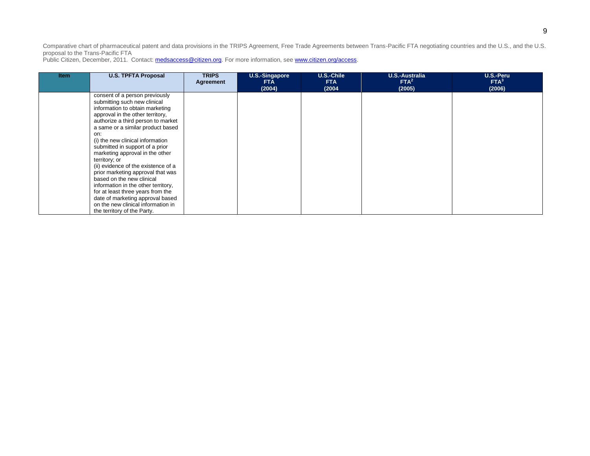| <b>Item</b> | <b>U.S. TPFTA Proposal</b>          | <b>TRIPS</b><br>Agreement | U.S.-Singapore<br><b>FTA</b> | U.S.-Chile<br><b>FTA</b> | U.S.-Australia<br>FTA <sup>2</sup> | U.S.-Peru<br>FTA <sup>3</sup> |
|-------------|-------------------------------------|---------------------------|------------------------------|--------------------------|------------------------------------|-------------------------------|
|             |                                     |                           | (2004)                       | (2004)                   | (2005)                             | (2006)                        |
|             | consent of a person previously      |                           |                              |                          |                                    |                               |
|             | submitting such new clinical        |                           |                              |                          |                                    |                               |
|             | information to obtain marketing     |                           |                              |                          |                                    |                               |
|             | approval in the other territory,    |                           |                              |                          |                                    |                               |
|             | authorize a third person to market  |                           |                              |                          |                                    |                               |
|             | a same or a similar product based   |                           |                              |                          |                                    |                               |
|             | on:                                 |                           |                              |                          |                                    |                               |
|             | (i) the new clinical information    |                           |                              |                          |                                    |                               |
|             | submitted in support of a prior     |                           |                              |                          |                                    |                               |
|             | marketing approval in the other     |                           |                              |                          |                                    |                               |
|             | territory; or                       |                           |                              |                          |                                    |                               |
|             | (ii) evidence of the existence of a |                           |                              |                          |                                    |                               |
|             | prior marketing approval that was   |                           |                              |                          |                                    |                               |
|             | based on the new clinical           |                           |                              |                          |                                    |                               |
|             | information in the other territory, |                           |                              |                          |                                    |                               |
|             | for at least three years from the   |                           |                              |                          |                                    |                               |
|             | date of marketing approval based    |                           |                              |                          |                                    |                               |
|             | on the new clinical information in  |                           |                              |                          |                                    |                               |
|             | the territory of the Party.         |                           |                              |                          |                                    |                               |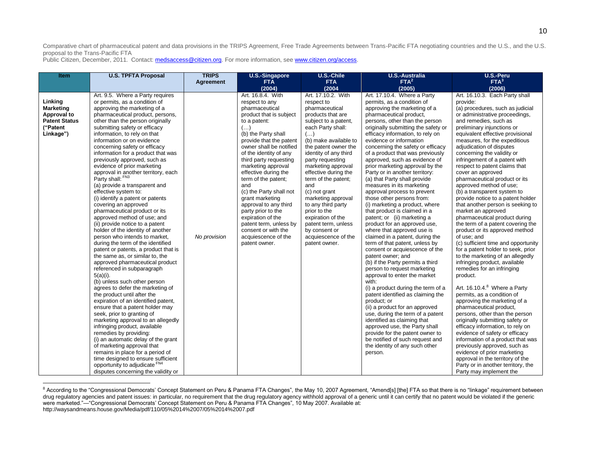Public Citizen, December, 2011. Contact: medsaccess@citizen.org. For more information, see www.citizen.org/access.

 $\overline{a}$ 

| <b>Item</b>                                                                                 | <b>U.S. TPFTA Proposal</b>                                                                                                                                                                                                                                                                                                                                                                                                                                                                                                                                                                                                                                                                                                                                                                                                                                                                                                                                                                                                                                                                                                                                                                                                                                                                                                                                                                                                                                                                                 | <b>TRIPS</b><br><b>Agreement</b> | <b>U.S.-Singapore</b><br><b>FTA</b>                                                                                                                                                                                                                                                                                                                                                                                                                                                                                                    | U.S.-Chile<br><b>FTA</b>                                                                                                                                                                                                                                                                                                                                                                                                                                                                       | <b>U.S.-Australia</b><br>FTA <sup>2</sup>                                                                                                                                                                                                                                                                                                                                                                                                                                                                                                                                                                                                                                                                                                                                                                                                                                                                                                                                                                                                                                                                                                                                                                                                                                                                                      | U.S.-Peru<br>FTA <sup>3</sup>                                                                                                                                                                                                                                                                                                                                                                                                                                                                                                                                                                                                                                                                                                                                                                                                                                                                                                                                                                                                                                                                                                                                                                                                                                                                                                                                                                        |
|---------------------------------------------------------------------------------------------|------------------------------------------------------------------------------------------------------------------------------------------------------------------------------------------------------------------------------------------------------------------------------------------------------------------------------------------------------------------------------------------------------------------------------------------------------------------------------------------------------------------------------------------------------------------------------------------------------------------------------------------------------------------------------------------------------------------------------------------------------------------------------------------------------------------------------------------------------------------------------------------------------------------------------------------------------------------------------------------------------------------------------------------------------------------------------------------------------------------------------------------------------------------------------------------------------------------------------------------------------------------------------------------------------------------------------------------------------------------------------------------------------------------------------------------------------------------------------------------------------------|----------------------------------|----------------------------------------------------------------------------------------------------------------------------------------------------------------------------------------------------------------------------------------------------------------------------------------------------------------------------------------------------------------------------------------------------------------------------------------------------------------------------------------------------------------------------------------|------------------------------------------------------------------------------------------------------------------------------------------------------------------------------------------------------------------------------------------------------------------------------------------------------------------------------------------------------------------------------------------------------------------------------------------------------------------------------------------------|--------------------------------------------------------------------------------------------------------------------------------------------------------------------------------------------------------------------------------------------------------------------------------------------------------------------------------------------------------------------------------------------------------------------------------------------------------------------------------------------------------------------------------------------------------------------------------------------------------------------------------------------------------------------------------------------------------------------------------------------------------------------------------------------------------------------------------------------------------------------------------------------------------------------------------------------------------------------------------------------------------------------------------------------------------------------------------------------------------------------------------------------------------------------------------------------------------------------------------------------------------------------------------------------------------------------------------|------------------------------------------------------------------------------------------------------------------------------------------------------------------------------------------------------------------------------------------------------------------------------------------------------------------------------------------------------------------------------------------------------------------------------------------------------------------------------------------------------------------------------------------------------------------------------------------------------------------------------------------------------------------------------------------------------------------------------------------------------------------------------------------------------------------------------------------------------------------------------------------------------------------------------------------------------------------------------------------------------------------------------------------------------------------------------------------------------------------------------------------------------------------------------------------------------------------------------------------------------------------------------------------------------------------------------------------------------------------------------------------------------|
|                                                                                             |                                                                                                                                                                                                                                                                                                                                                                                                                                                                                                                                                                                                                                                                                                                                                                                                                                                                                                                                                                                                                                                                                                                                                                                                                                                                                                                                                                                                                                                                                                            |                                  | (2004)                                                                                                                                                                                                                                                                                                                                                                                                                                                                                                                                 | (2004)                                                                                                                                                                                                                                                                                                                                                                                                                                                                                         | (2005)                                                                                                                                                                                                                                                                                                                                                                                                                                                                                                                                                                                                                                                                                                                                                                                                                                                                                                                                                                                                                                                                                                                                                                                                                                                                                                                         | (2006)                                                                                                                                                                                                                                                                                                                                                                                                                                                                                                                                                                                                                                                                                                                                                                                                                                                                                                                                                                                                                                                                                                                                                                                                                                                                                                                                                                                               |
| Linking<br><b>Marketing</b><br>Approval to<br><b>Patent Status</b><br>("Patent<br>Linkage") | Art. 9.5. Where a Party requires<br>or permits, as a condition of<br>approving the marketing of a<br>pharmaceutical product, persons,<br>other than the person originally<br>submitting safety or efficacy<br>information, to rely on that<br>information or on evidence<br>concerning safety or efficacy<br>information for a product that was<br>previously approved, such as<br>evidence of prior marketing<br>approval in another territory, each<br>Party shall: FN3<br>(a) provide a transparent and<br>effective system to:<br>(i) identify a patent or patents<br>covering an approved<br>pharmaceutical product or its<br>approved method of use; and<br>(ii) provide notice to a patent<br>holder of the identity of another<br>person who intends to market,<br>during the term of the identified<br>patent or patents, a product that is<br>the same as, or similar to, the<br>approved pharmaceutical product<br>referenced in subparagraph<br>$5(a)(i)$ .<br>(b) unless such other person<br>agrees to defer the marketing of<br>the product until after the<br>expiration of an identified patent,<br>ensure that a patent holder may<br>seek, prior to granting of<br>marketing approval to an allegedly<br>infringing product, available<br>remedies by providing:<br>(i) an automatic delay of the grant<br>of marketing approval that<br>remains in place for a period of<br>time designed to ensure sufficient<br>opportunity to adjudicate FN4<br>disputes concerning the validity or | No provision                     | Art. 16.8.4. With<br>respect to any<br>pharmaceutical<br>product that is subject<br>to a patent:<br>$(\ldots)$<br>(b) the Party shall<br>provide that the patent<br>owner shall be notified<br>of the identity of any<br>third party requesting<br>marketing approval<br>effective during the<br>term of the patent;<br>and<br>(c) the Party shall not<br>grant marketing<br>approval to any third<br>party prior to the<br>expiration of the<br>patent term, unless by<br>consent or with the<br>acquiescence of the<br>patent owner. | Art. 17.10.2. With<br>respect to<br>pharmaceutical<br>products that are<br>subject to a patent,<br>each Party shall:<br>$(\ldots)$<br>(b) make available to<br>the patent owner the<br>identity of any third<br>party requesting<br>marketing approval<br>effective during the<br>term of the patent;<br>and<br>(c) not grant<br>marketing approval<br>to any third party<br>prior to the<br>expiration of the<br>patent term, unless<br>by consent or<br>acquiescence of the<br>patent owner. | Art. 17.10.4. Where a Party<br>permits, as a condition of<br>approving the marketing of a<br>pharmaceutical product,<br>persons, other than the person<br>originally submitting the safety or<br>efficacy information, to rely on<br>evidence or information<br>concerning the safety or efficacy<br>of a product that was previously<br>approved, such as evidence of<br>prior marketing approval by the<br>Party or in another territory:<br>(a) that Party shall provide<br>measures in its marketing<br>approval process to prevent<br>those other persons from:<br>(i) marketing a product, where<br>that product is claimed in a<br>patent; or (ii) marketing a<br>product for an approved use,<br>where that approved use is<br>claimed in a patent, during the<br>term of that patent, unless by<br>consent or acquiescence of the<br>patent owner; and<br>(b) if the Party permits a third<br>person to request marketing<br>approval to enter the market<br>with:<br>(i) a product during the term of a<br>patent identified as claiming the<br>product; or<br>(ii) a product for an approved<br>use, during the term of a patent<br>identified as claiming that<br>approved use, the Party shall<br>provide for the patent owner to<br>be notified of such request and<br>the identity of any such other<br>person. | Art. 16.10.3. Each Party shall<br>provide:<br>(a) procedures, such as judicial<br>or administrative proceedings,<br>and remedies, such as<br>preliminary injunctions or<br>equivalent effective provisional<br>measures, for the expeditious<br>adjudication of disputes<br>concerning the validity or<br>infringement of a patent with<br>respect to patent claims that<br>cover an approved<br>pharmaceutical product or its<br>approved method of use;<br>(b) a transparent system to<br>provide notice to a patent holder<br>that another person is seeking to<br>market an approved<br>pharmaceutical product during<br>the term of a patent covering the<br>product or its approved method<br>of use: and<br>(c) sufficient time and opportunity<br>for a patent holder to seek, prior<br>to the marketing of an allegedly<br>infringing product, available<br>remedies for an infringing<br>product.<br>Art. 16.10.4. <sup>8</sup> Where a Party<br>permits, as a condition of<br>approving the marketing of a<br>pharmaceutical product,<br>persons, other than the person<br>originally submitting safety or<br>efficacy information, to rely on<br>evidence of safety or efficacy<br>information of a product that was<br>previously approved, such as<br>evidence of prior marketing<br>approval in the territory of the<br>Party or in another territory, the<br>Party may implement the |

<sup>&</sup>lt;sup>8</sup> According to the "Congressional Democrats' Concept Statement on Peru & Panama FTA Changes", the May 10, 2007 Agreement, "Amend[s] [the] FTA so that there is no "linkage" requirement between drug regulatory agencies and patent issues: in particular, no requirement that the drug regulatory agency withhold approval of a generic until it can certify that no patent would be violated if the generic were marketed."—"Congressional Democrats' Concept Statement on Peru & Panama FTA Changes", 10 May 2007. Available at: http://waysandmeans.house.gov/Media/pdf/110/05%2014%2007/05%2014%2007.pdf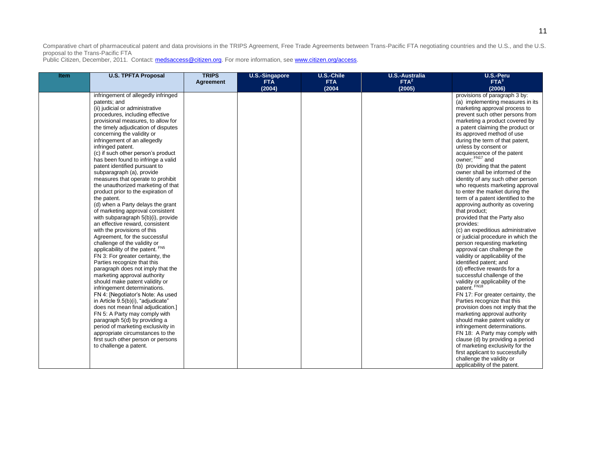| Item | <b>U.S. TPFTA Proposal</b>                                                                                                                                                                                                                                                                                                                                                                                                                                                                                                                                                                                                                                                                                                                                                                                                                                                                                                                                                                                                                                                                                                                                                                                                                                                                                                                                                                       | <b>TRIPS</b>     | U.S.-Singapore<br><b>FTA</b> | U.S.-Chile<br><b>FTA</b> | <b>U.S.-Australia</b><br>FTA <sup>2</sup> | U.S.-Peru<br>FTA <sup>3</sup>                                                                                                                                                                                                                                                                                                                                                                                                                                                                                                                                                                                                                                                                                                                                                                                                                                                                                                                                                                                                                                                                                                                                                                                                                                                                                                                                                                                |
|------|--------------------------------------------------------------------------------------------------------------------------------------------------------------------------------------------------------------------------------------------------------------------------------------------------------------------------------------------------------------------------------------------------------------------------------------------------------------------------------------------------------------------------------------------------------------------------------------------------------------------------------------------------------------------------------------------------------------------------------------------------------------------------------------------------------------------------------------------------------------------------------------------------------------------------------------------------------------------------------------------------------------------------------------------------------------------------------------------------------------------------------------------------------------------------------------------------------------------------------------------------------------------------------------------------------------------------------------------------------------------------------------------------|------------------|------------------------------|--------------------------|-------------------------------------------|--------------------------------------------------------------------------------------------------------------------------------------------------------------------------------------------------------------------------------------------------------------------------------------------------------------------------------------------------------------------------------------------------------------------------------------------------------------------------------------------------------------------------------------------------------------------------------------------------------------------------------------------------------------------------------------------------------------------------------------------------------------------------------------------------------------------------------------------------------------------------------------------------------------------------------------------------------------------------------------------------------------------------------------------------------------------------------------------------------------------------------------------------------------------------------------------------------------------------------------------------------------------------------------------------------------------------------------------------------------------------------------------------------------|
|      |                                                                                                                                                                                                                                                                                                                                                                                                                                                                                                                                                                                                                                                                                                                                                                                                                                                                                                                                                                                                                                                                                                                                                                                                                                                                                                                                                                                                  |                  |                              |                          |                                           |                                                                                                                                                                                                                                                                                                                                                                                                                                                                                                                                                                                                                                                                                                                                                                                                                                                                                                                                                                                                                                                                                                                                                                                                                                                                                                                                                                                                              |
|      | infringement of allegedly infringed<br>patents; and<br>(ii) judicial or administrative<br>procedures, including effective<br>provisional measures, to allow for<br>the timely adjudication of disputes<br>concerning the validity or<br>infringement of an allegedly<br>infringed patent.<br>(c) if such other person's product<br>has been found to infringe a valid<br>patent identified pursuant to<br>subparagraph (a), provide<br>measures that operate to prohibit<br>the unauthorized marketing of that<br>product prior to the expiration of<br>the patent.<br>(d) when a Party delays the grant<br>of marketing approval consistent<br>with subparagraph 5(b)(i), provide<br>an effective reward, consistent<br>with the provisions of this<br>Agreement, for the successful<br>challenge of the validity or<br>applicability of the patent. FN5<br>FN 3: For greater certainty, the<br>Parties recognize that this<br>paragraph does not imply that the<br>marketing approval authority<br>should make patent validity or<br>infringement determinations.<br>FN 4: [Negotiator's Note: As used<br>in Article 9.5(b)(i), "adjudicate"<br>does not mean final adjudication.]<br>FN 5: A Party may comply with<br>paragraph 5(d) by providing a<br>period of marketing exclusivity in<br>appropriate circumstances to the<br>first such other person or persons<br>to challenge a patent. | <b>Agreement</b> | (2004)                       | (2004)                   | (2005)                                    | (2006)<br>provisions of paragraph 3 by:<br>(a) implementing measures in its<br>marketing approval process to<br>prevent such other persons from<br>marketing a product covered by<br>a patent claiming the product or<br>its approved method of use<br>during the term of that patent,<br>unless by consent or<br>acquiescence of the patent<br>owner; FN <sub>17</sub> and<br>(b) providing that the patent<br>owner shall be informed of the<br>identity of any such other person<br>who requests marketing approval<br>to enter the market during the<br>term of a patent identified to the<br>approving authority as covering<br>that product:<br>provided that the Party also<br>provides:<br>(c) an expeditious administrative<br>or judicial procedure in which the<br>person requesting marketing<br>approval can challenge the<br>validity or applicability of the<br>identified patent; and<br>(d) effective rewards for a<br>successful challenge of the<br>validity or applicability of the<br>patent. FN18<br>FN 17: For greater certainty, the<br>Parties recognize that this<br>provision does not imply that the<br>marketing approval authority<br>should make patent validity or<br>infringement determinations.<br>FN 18: A Party may comply with<br>clause (d) by providing a period<br>of marketing exclusivity for the<br>first applicant to successfully<br>challenge the validity or |
|      |                                                                                                                                                                                                                                                                                                                                                                                                                                                                                                                                                                                                                                                                                                                                                                                                                                                                                                                                                                                                                                                                                                                                                                                                                                                                                                                                                                                                  |                  |                              |                          |                                           | applicability of the patent.                                                                                                                                                                                                                                                                                                                                                                                                                                                                                                                                                                                                                                                                                                                                                                                                                                                                                                                                                                                                                                                                                                                                                                                                                                                                                                                                                                                 |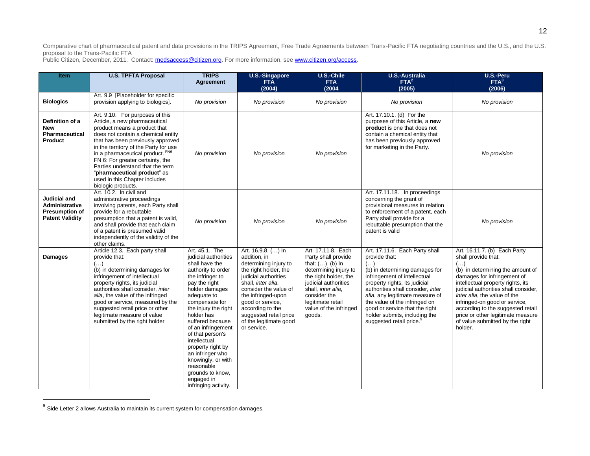| <b>Item</b>                                                                              | <b>U.S. TPFTA Proposal</b>                                                                                                                                                                                                                                                                                                                                                                                             | <b>TRIPS</b><br><b>Agreement</b>                                                                                                                                                                                                                                                                                                                                                                                                  | <b>U.S.-Singapore</b><br><b>FTA</b><br>(2004)                                                                                                                                                                                                                                                | U.S.-Chile<br><b>FTA</b><br>(2004)                                                                                                                                                                                                      | <b>U.S.-Australia</b><br>FTA <sup>2</sup><br>(2005)                                                                                                                                                                                                                                                                                                                                  | U.S.-Peru<br>FTA <sup>3</sup><br>(2006)                                                                                                                                                                                                                                                                                                                                                                    |
|------------------------------------------------------------------------------------------|------------------------------------------------------------------------------------------------------------------------------------------------------------------------------------------------------------------------------------------------------------------------------------------------------------------------------------------------------------------------------------------------------------------------|-----------------------------------------------------------------------------------------------------------------------------------------------------------------------------------------------------------------------------------------------------------------------------------------------------------------------------------------------------------------------------------------------------------------------------------|----------------------------------------------------------------------------------------------------------------------------------------------------------------------------------------------------------------------------------------------------------------------------------------------|-----------------------------------------------------------------------------------------------------------------------------------------------------------------------------------------------------------------------------------------|--------------------------------------------------------------------------------------------------------------------------------------------------------------------------------------------------------------------------------------------------------------------------------------------------------------------------------------------------------------------------------------|------------------------------------------------------------------------------------------------------------------------------------------------------------------------------------------------------------------------------------------------------------------------------------------------------------------------------------------------------------------------------------------------------------|
| <b>Biologics</b>                                                                         | Art. 9.9 [Placeholder for specific<br>provision applying to biologics].                                                                                                                                                                                                                                                                                                                                                | No provision                                                                                                                                                                                                                                                                                                                                                                                                                      | No provision                                                                                                                                                                                                                                                                                 | No provision                                                                                                                                                                                                                            | No provision                                                                                                                                                                                                                                                                                                                                                                         | No provision                                                                                                                                                                                                                                                                                                                                                                                               |
| Definition of a<br><b>New</b><br>Pharmaceutical<br>Product                               | Art. 9.10. For purposes of this<br>Article, a new pharmaceutical<br>product means a product that<br>does not contain a chemical entity<br>that has been previously approved<br>in the territory of the Party for use<br>in a pharmaceutical product. FN6<br>FN 6: For greater certainty, the<br>Parties understand that the term<br>"pharmaceutical product" as<br>used in this Chapter includes<br>biologic products. | No provision                                                                                                                                                                                                                                                                                                                                                                                                                      | No provision                                                                                                                                                                                                                                                                                 | No provision                                                                                                                                                                                                                            | Art. 17.10.1. (d) For the<br>purposes of this Article, a new<br>product is one that does not<br>contain a chemical entity that<br>has been previously approved<br>for marketing in the Party.                                                                                                                                                                                        | No provision                                                                                                                                                                                                                                                                                                                                                                                               |
| <b>Judicial and</b><br>Administrative<br><b>Presumption of</b><br><b>Patent Validity</b> | Art. 10.2. In civil and<br>administrative proceedings<br>involving patents, each Party shall<br>provide for a rebuttable<br>presumption that a patent is valid,<br>and shall provide that each claim<br>of a patent is presumed valid<br>independently of the validity of the<br>other claims.                                                                                                                         | No provision                                                                                                                                                                                                                                                                                                                                                                                                                      | No provision                                                                                                                                                                                                                                                                                 | No provision                                                                                                                                                                                                                            | Art. 17.11.18. In proceedings<br>concerning the grant of<br>provisional measures in relation<br>to enforcement of a patent, each<br>Party shall provide for a<br>rebuttable presumption that the<br>patent is valid                                                                                                                                                                  | No provision                                                                                                                                                                                                                                                                                                                                                                                               |
| <b>Damages</b>                                                                           | Article 12.3. Each party shall<br>provide that:<br>()<br>(b) in determining damages for<br>infringement of intellectual<br>property rights, its judicial<br>authorities shall consider, inter<br>alia, the value of the infringed<br>good or service, measured by the<br>suggested retail price or other<br>legitimate measure of value<br>submitted by the right holder                                               | Art. 45.1. The<br>judicial authorities<br>shall have the<br>authority to order<br>the infringer to<br>pay the right<br>holder damages<br>adequate to<br>compensate for<br>the injury the right<br>holder has<br>suffered because<br>of an infringement<br>of that person's<br>intellectual<br>property right by<br>an infringer who<br>knowingly, or with<br>reasonable<br>grounds to know,<br>engaged in<br>infringing activity. | Art. 16.9.8. () In<br>addition, in<br>determining injury to<br>the right holder, the<br>judicial authorities<br>shall, inter alia,<br>consider the value of<br>the infringed-upon<br>good or service,<br>according to the<br>suggested retail price<br>of the legitimate good<br>or service. | Art. 17.11.8. Each<br>Party shall provide<br>that: $()$ (b) In<br>determining injury to<br>the right holder, the<br>judicial authorities<br>shall, inter alia,<br>consider the<br>legitimate retail<br>value of the infringed<br>goods. | Art. 17.11.6. Each Party shall<br>provide that:<br>$(\ldots)$<br>(b) in determining damages for<br>infringement of intellectual<br>property rights, its judicial<br>authorities shall consider, inter<br>alia, any legitimate measure of<br>the value of the infringed on<br>good or service that the right<br>holder submits, including the<br>suggested retail price. <sup>9</sup> | Art. 16.11.7. (b) Each Party<br>shall provide that:<br>$(\ldots)$<br>(b) in determining the amount of<br>damages for infringement of<br>intellectual property rights, its<br>judicial authorities shall consider,<br>inter alia, the value of the<br>infringed-on good or service,<br>according to the suggested retail<br>price or other legitimate measure<br>of value submitted by the right<br>holder. |

<sup>&</sup>lt;u>e</u><br><sup>9</sup> Side Letter 2 allows Australia to maintain its current system for compensation damages.